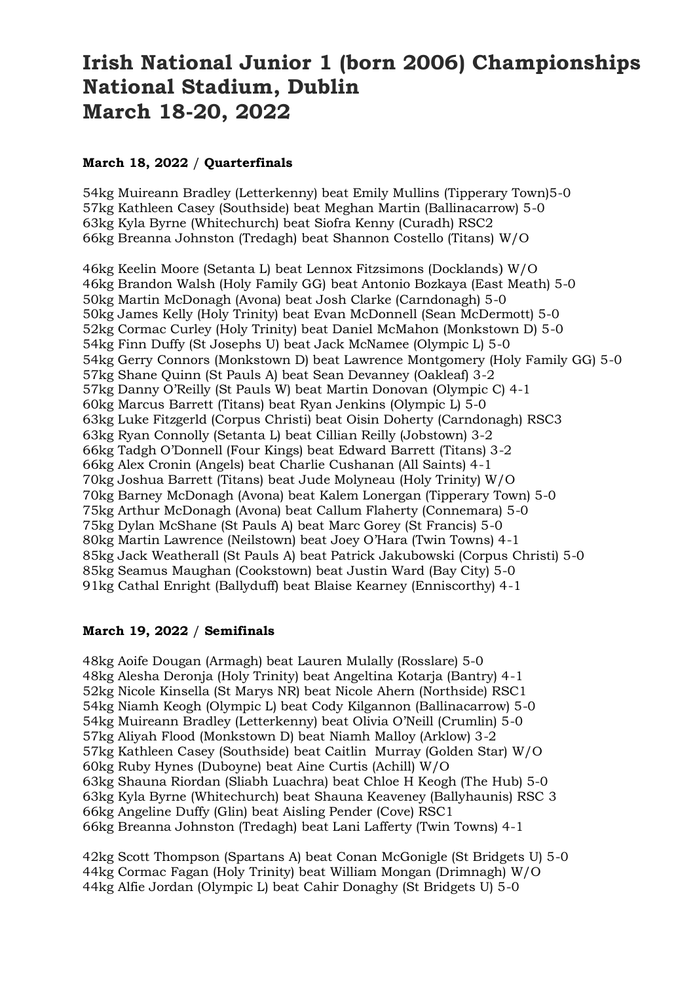## **Irish National Junior 1 (born 2006) Championships National Stadium, Dublin March 18-20, 2022**

## **March 18, 2022** / **Quarterfinals**

54kg Muireann Bradley (Letterkenny) beat Emily Mullins (Tipperary Town)5-0 57kg Kathleen Casey (Southside) beat Meghan Martin (Ballinacarrow) 5-0 63kg Kyla Byrne (Whitechurch) beat Siofra Kenny (Curadh) RSC2 66kg Breanna Johnston (Tredagh) beat Shannon Costello (Titans) W/O

46kg Keelin Moore (Setanta L) beat Lennox Fitzsimons (Docklands) W/O 46kg Brandon Walsh (Holy Family GG) beat Antonio Bozkaya (East Meath) 5-0 50kg Martin McDonagh (Avona) beat Josh Clarke (Carndonagh) 5-0 50kg James Kelly (Holy Trinity) beat Evan McDonnell (Sean McDermott) 5-0 52kg Cormac Curley (Holy Trinity) beat Daniel McMahon (Monkstown D) 5-0 54kg Finn Duffy (St Josephs U) beat Jack McNamee (Olympic L) 5-0 54kg Gerry Connors (Monkstown D) beat Lawrence Montgomery (Holy Family GG) 5-0 57kg Shane Quinn (St Pauls A) beat Sean Devanney (Oakleaf) 3-2 57kg Danny O'Reilly (St Pauls W) beat Martin Donovan (Olympic C) 4-1 60kg Marcus Barrett (Titans) beat Ryan Jenkins (Olympic L) 5-0 63kg Luke Fitzgerld (Corpus Christi) beat Oisin Doherty (Carndonagh) RSC3 63kg Ryan Connolly (Setanta L) beat Cillian Reilly (Jobstown) 3-2 66kg Tadgh O'Donnell (Four Kings) beat Edward Barrett (Titans) 3-2 66kg Alex Cronin (Angels) beat Charlie Cushanan (All Saints) 4-1 70kg Joshua Barrett (Titans) beat Jude Molyneau (Holy Trinity) W/O 70kg Barney McDonagh (Avona) beat Kalem Lonergan (Tipperary Town) 5-0 75kg Arthur McDonagh (Avona) beat Callum Flaherty (Connemara) 5-0 75kg Dylan McShane (St Pauls A) beat Marc Gorey (St Francis) 5-0 80kg Martin Lawrence (Neilstown) beat Joey O'Hara (Twin Towns) 4-1 85kg Jack Weatherall (St Pauls A) beat Patrick Jakubowski (Corpus Christi) 5-0 85kg Seamus Maughan (Cookstown) beat Justin Ward (Bay City) 5-0 91kg Cathal Enright (Ballyduff) beat Blaise Kearney (Enniscorthy) 4-1

## **March 19, 2022** / **Semifinals**

48kg Aoife Dougan (Armagh) beat Lauren Mulally (Rosslare) 5-0 48kg Alesha Deronja (Holy Trinity) beat Angeltina Kotarja (Bantry) 4-1 52kg Nicole Kinsella (St Marys NR) beat Nicole Ahern (Northside) RSC1 54kg Niamh Keogh (Olympic L) beat Cody Kilgannon (Ballinacarrow) 5-0 54kg Muireann Bradley (Letterkenny) beat Olivia O'Neill (Crumlin) 5-0 57kg Aliyah Flood (Monkstown D) beat Niamh Malloy (Arklow) 3-2 57kg Kathleen Casey (Southside) beat Caitlin Murray (Golden Star) W/O 60kg Ruby Hynes (Duboyne) beat Aine Curtis (Achill) W/O 63kg Shauna Riordan (Sliabh Luachra) beat Chloe H Keogh (The Hub) 5-0 63kg Kyla Byrne (Whitechurch) beat Shauna Keaveney (Ballyhaunis) RSC 3 66kg Angeline Duffy (Glin) beat Aisling Pender (Cove) RSC1 66kg Breanna Johnston (Tredagh) beat Lani Lafferty (Twin Towns) 4-1

42kg Scott Thompson (Spartans A) beat Conan McGonigle (St Bridgets U) 5-0 44kg Cormac Fagan (Holy Trinity) beat William Mongan (Drimnagh) W/O 44kg Alfie Jordan (Olympic L) beat Cahir Donaghy (St Bridgets U) 5-0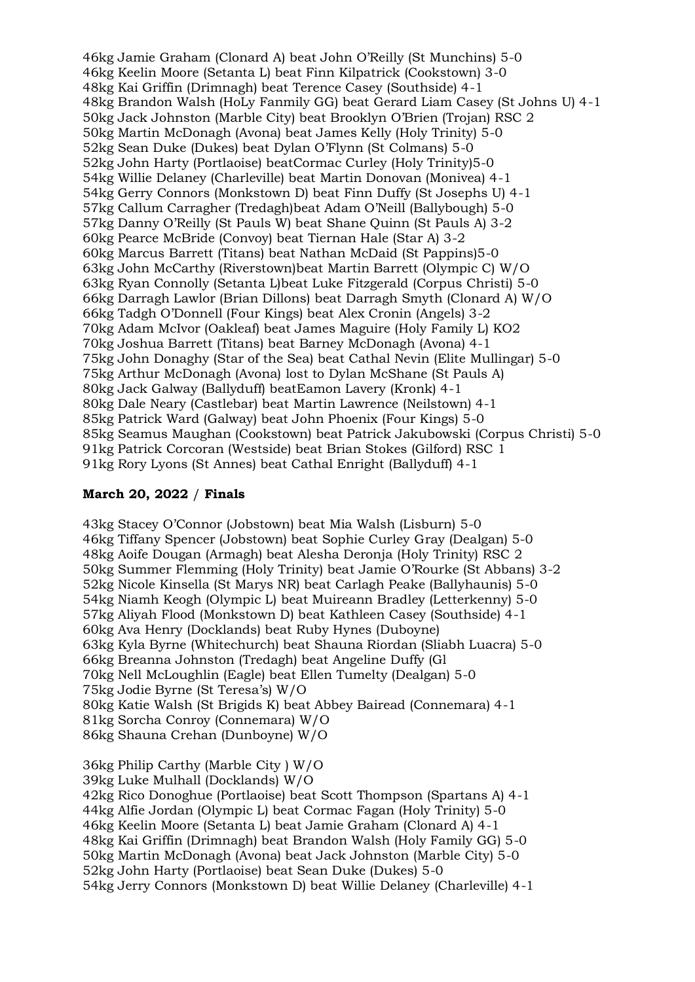46kg Jamie Graham (Clonard A) beat John O'Reilly (St Munchins) 5-0 46kg Keelin Moore (Setanta L) beat Finn Kilpatrick (Cookstown) 3-0 48kg Kai Griffin (Drimnagh) beat Terence Casey (Southside) 4-1 48kg Brandon Walsh (HoLy Fanmily GG) beat Gerard Liam Casey (St Johns U) 4-1 50kg Jack Johnston (Marble City) beat Brooklyn O'Brien (Trojan) RSC 2 50kg Martin McDonagh (Avona) beat James Kelly (Holy Trinity) 5-0 52kg Sean Duke (Dukes) beat Dylan O'Flynn (St Colmans) 5-0 52kg John Harty (Portlaoise) beatCormac Curley (Holy Trinity)5-0 54kg Willie Delaney (Charleville) beat Martin Donovan (Monivea) 4-1 54kg Gerry Connors (Monkstown D) beat Finn Duffy (St Josephs U) 4-1 57kg Callum Carragher (Tredagh)beat Adam O'Neill (Ballybough) 5-0 57kg Danny O'Reilly (St Pauls W) beat Shane Quinn (St Pauls A) 3-2 60kg Pearce McBride (Convoy) beat Tiernan Hale (Star A) 3-2 60kg Marcus Barrett (Titans) beat Nathan McDaid (St Pappins)5-0 63kg John McCarthy (Riverstown)beat Martin Barrett (Olympic C) W/O 63kg Ryan Connolly (Setanta L)beat Luke Fitzgerald (Corpus Christi) 5-0 66kg Darragh Lawlor (Brian Dillons) beat Darragh Smyth (Clonard A) W/O 66kg Tadgh O'Donnell (Four Kings) beat Alex Cronin (Angels) 3-2 70kg Adam McIvor (Oakleaf) beat James Maguire (Holy Family L) KO2 70kg Joshua Barrett (Titans) beat Barney McDonagh (Avona) 4-1 75kg John Donaghy (Star of the Sea) beat Cathal Nevin (Elite Mullingar) 5-0 75kg Arthur McDonagh (Avona) lost to Dylan McShane (St Pauls A) 80kg Jack Galway (Ballyduff) beatEamon Lavery (Kronk) 4-1 80kg Dale Neary (Castlebar) beat Martin Lawrence (Neilstown) 4-1 85kg Patrick Ward (Galway) beat John Phoenix (Four Kings) 5-0 85kg Seamus Maughan (Cookstown) beat Patrick Jakubowski (Corpus Christi) 5-0 91kg Patrick Corcoran (Westside) beat Brian Stokes (Gilford) RSC 1 91kg Rory Lyons (St Annes) beat Cathal Enright (Ballyduff) 4-1

## **March 20, 2022** / **Finals**

43kg Stacey O'Connor (Jobstown) beat Mia Walsh (Lisburn) 5-0 46kg Tiffany Spencer (Jobstown) beat Sophie Curley Gray (Dealgan) 5-0 48kg Aoife Dougan (Armagh) beat Alesha Deronja (Holy Trinity) RSC 2 50kg Summer Flemming (Holy Trinity) beat Jamie O'Rourke (St Abbans) 3-2 52kg Nicole Kinsella (St Marys NR) beat Carlagh Peake (Ballyhaunis) 5-0 54kg Niamh Keogh (Olympic L) beat Muireann Bradley (Letterkenny) 5-0 57kg Aliyah Flood (Monkstown D) beat Kathleen Casey (Southside) 4-1 60kg Ava Henry (Docklands) beat Ruby Hynes (Duboyne) 63kg Kyla Byrne (Whitechurch) beat Shauna Riordan (Sliabh Luacra) 5-0 66kg Breanna Johnston (Tredagh) beat Angeline Duffy (Gl 70kg Nell McLoughlin (Eagle) beat Ellen Tumelty (Dealgan) 5-0 75kg Jodie Byrne (St Teresa's) W/O 80kg Katie Walsh (St Brigids K) beat Abbey Bairead (Connemara) 4-1 81kg Sorcha Conroy (Connemara) W/O 86kg Shauna Crehan (Dunboyne) W/O 36kg Philip Carthy (Marble City ) W/O 39kg Luke Mulhall (Docklands) W/O 42kg Rico Donoghue (Portlaoise) beat Scott Thompson (Spartans A) 4-1 44kg Alfie Jordan (Olympic L) beat Cormac Fagan (Holy Trinity) 5-0 46kg Keelin Moore (Setanta L) beat Jamie Graham (Clonard A) 4-1 48kg Kai Griffin (Drimnagh) beat Brandon Walsh (Holy Family GG) 5-0 50kg Martin McDonagh (Avona) beat Jack Johnston (Marble City) 5-0 52kg John Harty (Portlaoise) beat Sean Duke (Dukes) 5-0

54kg Jerry Connors (Monkstown D) beat Willie Delaney (Charleville) 4-1